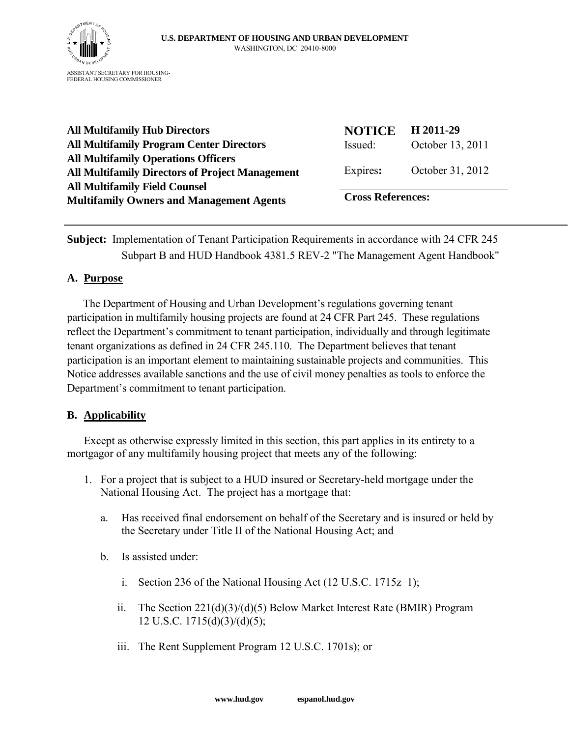

**All Multifamily Hub Directors All Multifamily Program Center Directors All Multifamily Operations Officers All Multifamily Directors of Project Management All Multifamily Field Counsel Multifamily Owners and Management Agents**

| <b>NOTICE</b><br>Issued: | H 2011-29<br>October 13, 2011 |
|--------------------------|-------------------------------|
| Expires:                 | October 31, 2012              |
| <b>Cross References:</b> |                               |

**Subject:** Implementation of Tenant Participation Requirements in accordance with 24 CFR 245 Subpart B and HUD Handbook 4381.5 REV-2 "The Management Agent Handbook"

#### **A. Purpose**

 The Department of Housing and Urban Development's regulations governing tenant participation in multifamily housing projects are found at 24 CFR Part 245. These regulations reflect the Department's commitment to tenant participation, individually and through legitimate tenant organizations as defined in 24 CFR 245.110. The Department believes that tenant participation is an important element to maintaining sustainable projects and communities. This Notice addresses available sanctions and the use of civil money penalties as tools to enforce the Department's commitment to tenant participation.

## **B. Applicability**

Except as otherwise expressly limited in this section, this part applies in its entirety to a mortgagor of any multifamily housing project that meets any of the following:

- 1. For a project that is subject to a HUD insured or Secretary-held mortgage under the National Housing Act. The project has a mortgage that:
	- a. Has received final endorsement on behalf of the Secretary and is insured or held by the Secretary under Title II of the National Housing Act; and
	- b. Is assisted under:
		- i. Section 236 of the National Housing Act (12 U.S.C. 1715z–1);
		- ii. The Section 221(d)(3)/(d)(5) Below Market Interest Rate (BMIR) Program 12 U.S.C. 1715(d)(3)/(d)(5);
		- iii. The Rent Supplement Program 12 U.S.C. 1701s); or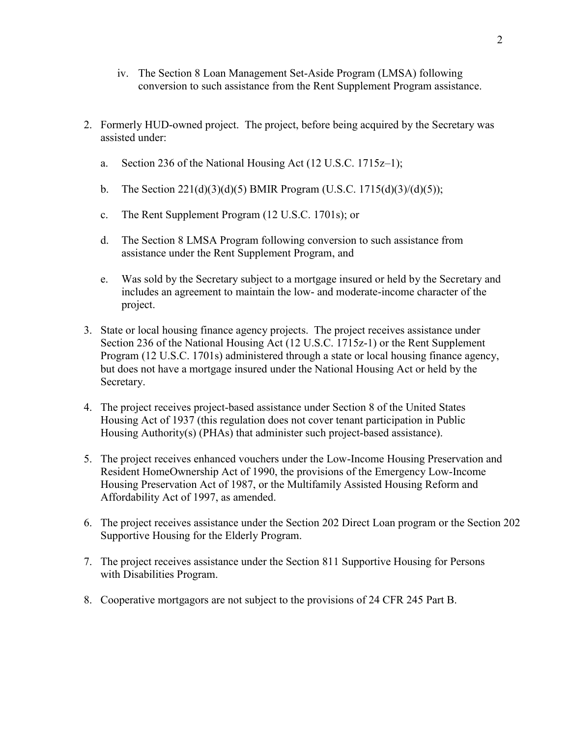- iv. The Section 8 Loan Management Set-Aside Program (LMSA) following conversion to such assistance from the Rent Supplement Program assistance.
- 2. Formerly HUD-owned project. The project, before being acquired by the Secretary was assisted under:
	- a. Section 236 of the National Housing Act (12 U.S.C. 1715z–1);
	- b. The Section  $221(d)(3)(d)(5)$  BMIR Program (U.S.C. 1715(d)(3)/(d)(5));
	- c. The Rent Supplement Program (12 U.S.C. 1701s); or
	- d. The Section 8 LMSA Program following conversion to such assistance from assistance under the Rent Supplement Program, and
	- e. Was sold by the Secretary subject to a mortgage insured or held by the Secretary and includes an agreement to maintain the low- and moderate-income character of the project.
- 3. State or local housing finance agency projects. The project receives assistance under Section 236 of the National Housing Act (12 U.S.C. 1715z-1) or the Rent Supplement Program (12 U.S.C. 1701s) administered through a state or local housing finance agency, but does not have a mortgage insured under the National Housing Act or held by the Secretary.
- 4. The project receives project-based assistance under Section 8 of the United States Housing Act of 1937 (this regulation does not cover tenant participation in Public Housing Authority(s) (PHAs) that administer such project-based assistance).
- 5. The project receives enhanced vouchers under the Low-Income Housing Preservation and Resident HomeOwnership Act of 1990, the provisions of the Emergency Low-Income Housing Preservation Act of 1987, or the Multifamily Assisted Housing Reform and Affordability Act of 1997, as amended.
- 6. The project receives assistance under the Section 202 Direct Loan program or the Section 202 Supportive Housing for the Elderly Program.
- 7. The project receives assistance under the Section 811 Supportive Housing for Persons with Disabilities Program.
- 8. Cooperative mortgagors are not subject to the provisions of 24 CFR 245 Part B.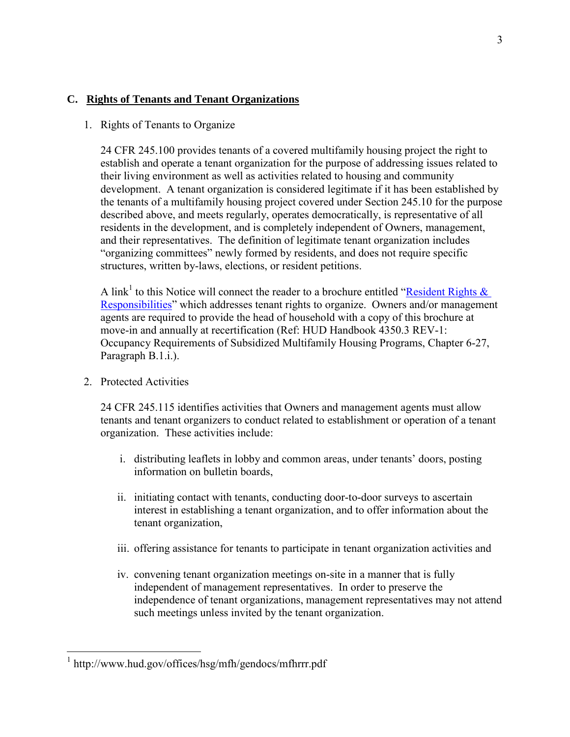## **C. Rights of Tenants and Tenant Organizations**

### 1. Rights of Tenants to Organize

24 CFR 245.100 provides tenants of a covered multifamily housing project the right to establish and operate a tenant organization for the purpose of addressing issues related to their living environment as well as activities related to housing and community development. A tenant organization is considered legitimate if it has been established by the tenants of a multifamily housing project covered under Section 245.10 for the purpose described above, and meets regularly, operates democratically, is representative of all residents in the development, and is completely independent of Owners, management, and their representatives. The definition of legitimate tenant organization includes "organizing committees" newly formed by residents, and does not require specific structures, written by-laws, elections, or resident petitions.

A link<sup>1</sup> to this Notice will connect the reader to a brochure entitled "Resident Rights  $\&$ [Responsibilities"](http://www.hud.gov/offices/hsg/mfh/gendocs/mfhrrr.pdf) which addresses tenant rights to organize. Owners and/or management agents are required to provide the head of household with a copy of this brochure at move-in and annually at recertification (Ref: HUD Handbook 4350.3 REV-1: Occupancy Requirements of Subsidized Multifamily Housing Programs, Chapter 6-27, Paragraph B.1.i.).

2. Protected Activities

 24 CFR 245.115 identifies activities that Owners and management agents must allow tenants and tenant organizers to conduct related to establishment or operation of a tenant organization. These activities include:

- i. distributing leaflets in lobby and common areas, under tenants' doors, posting information on bulletin boards,
- ii. initiating contact with tenants, conducting door-to-door surveys to ascertain interest in establishing a tenant organization, and to offer information about the tenant organization,
- iii. offering assistance for tenants to participate in tenant organization activities and
- iv. convening tenant organization meetings on-site in a manner that is fully independent of management representatives. In order to preserve the independence of tenant organizations, management representatives may not attend such meetings unless invited by the tenant organization.

 1 http://www.hud.gov/offices/hsg/mfh/gendocs/mfhrrr.pdf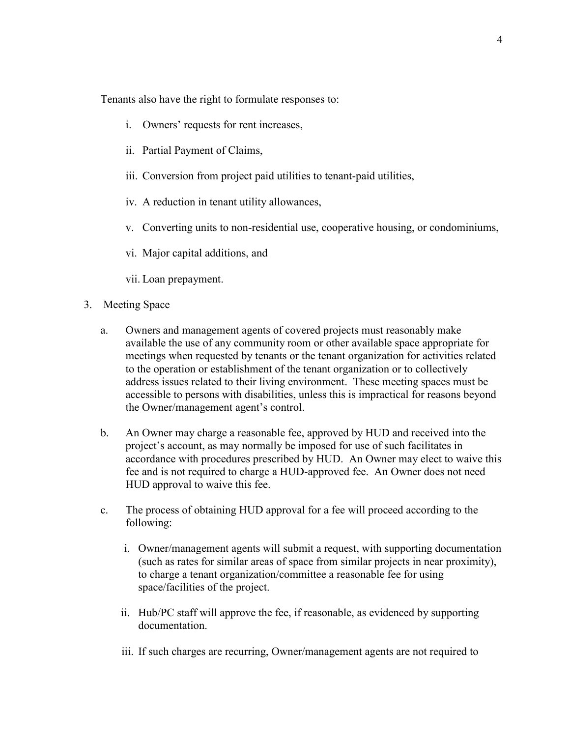Tenants also have the right to formulate responses to:

- i. Owners' requests for rent increases,
- ii. Partial Payment of Claims,
- iii. Conversion from project paid utilities to tenant-paid utilities,
- iv. A reduction in tenant utility allowances,
- v. Converting units to non-residential use, cooperative housing, or condominiums,
- vi. Major capital additions, and
- vii. Loan prepayment.
- 3. Meeting Space
	- a. Owners and management agents of covered projects must reasonably make available the use of any community room or other available space appropriate for meetings when requested by tenants or the tenant organization for activities related to the operation or establishment of the tenant organization or to collectively address issues related to their living environment. These meeting spaces must be accessible to persons with disabilities, unless this is impractical for reasons beyond the Owner/management agent's control.
	- b. An Owner may charge a reasonable fee, approved by HUD and received into the project's account, as may normally be imposed for use of such facilitates in accordance with procedures prescribed by HUD. An Owner may elect to waive this fee and is not required to charge a HUD-approved fee. An Owner does not need HUD approval to waive this fee.
	- c. The process of obtaining HUD approval for a fee will proceed according to the following:
		- i. Owner/management agents will submit a request, with supporting documentation (such as rates for similar areas of space from similar projects in near proximity), to charge a tenant organization/committee a reasonable fee for using space/facilities of the project.
		- ii. Hub/PC staff will approve the fee, if reasonable, as evidenced by supporting documentation.
		- iii. If such charges are recurring, Owner/management agents are not required to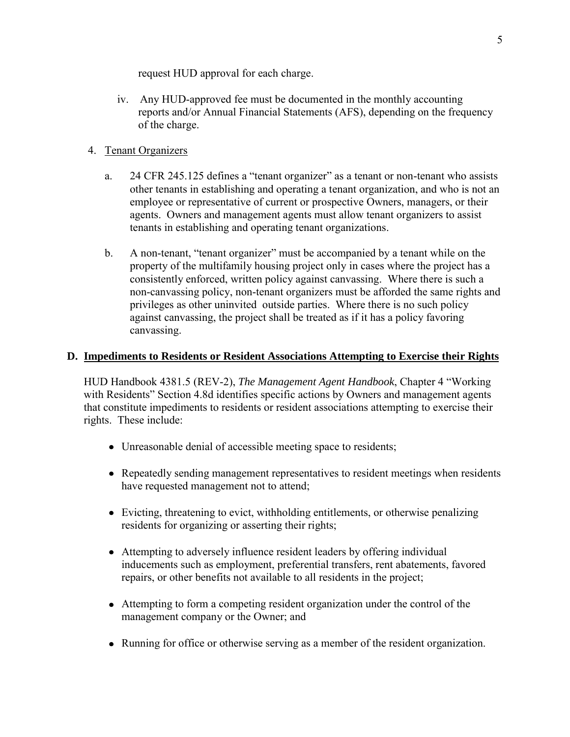request HUD approval for each charge.

iv. Any HUD-approved fee must be documented in the monthly accounting reports and/or Annual Financial Statements (AFS), depending on the frequency of the charge.

# 4. Tenant Organizers

- a. 24 CFR 245.125 defines a "tenant organizer" as a tenant or non-tenant who assists other tenants in establishing and operating a tenant organization, and who is not an employee or representative of current or prospective Owners, managers, or their agents. Owners and management agents must allow tenant organizers to assist tenants in establishing and operating tenant organizations.
- b. A non-tenant, "tenant organizer" must be accompanied by a tenant while on the property of the multifamily housing project only in cases where the project has a consistently enforced, written policy against canvassing. Where there is such a non-canvassing policy, non-tenant organizers must be afforded the same rights and privileges as other uninvited outside parties. Where there is no such policy against canvassing, the project shall be treated as if it has a policy favoring canvassing.

# **D. Impediments to Residents or Resident Associations Attempting to Exercise their Rights**

HUD Handbook 4381.5 (REV-2), *The Management Agent Handbook*, Chapter 4 "Working with Residents" Section 4.8d identifies specific actions by Owners and management agents that constitute impediments to residents or resident associations attempting to exercise their rights. These include:

- Unreasonable denial of accessible meeting space to residents;
- Repeatedly sending management representatives to resident meetings when residents have requested management not to attend;
- Evicting, threatening to evict, withholding entitlements, or otherwise penalizing residents for organizing or asserting their rights;
- Attempting to adversely influence resident leaders by offering individual inducements such as employment, preferential transfers, rent abatements, favored repairs, or other benefits not available to all residents in the project;
- Attempting to form a competing resident organization under the control of the management company or the Owner; and
- Running for office or otherwise serving as a member of the resident organization.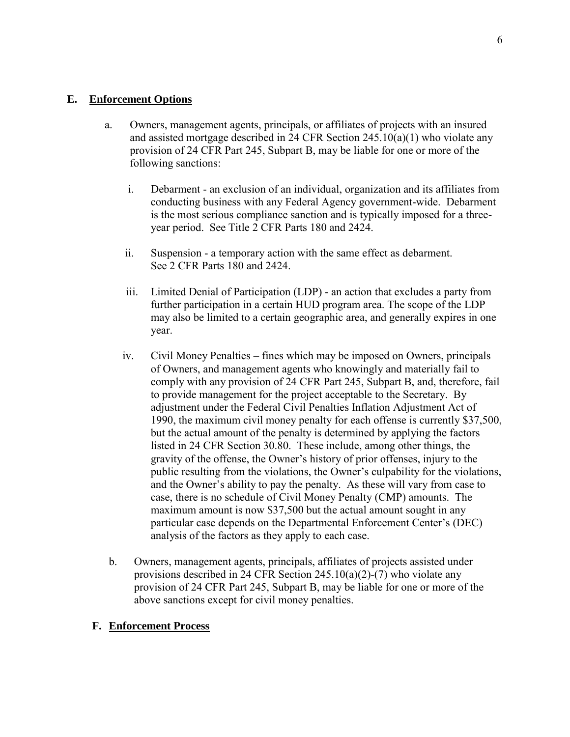- a. Owners, management agents, principals, or affiliates of projects with an insured and assisted mortgage described in 24 CFR Section 245.10(a)(1) who violate any provision of 24 CFR Part 245, Subpart B, may be liable for one or more of the following sanctions:
	- i. Debarment an exclusion of an individual, organization and its affiliates from conducting business with any Federal Agency government-wide. Debarment is the most serious compliance sanction and is typically imposed for a threeyear period. See Title 2 CFR Parts 180 and 2424.
	- ii. Suspension a temporary action with the same effect as debarment. See 2 CFR Parts 180 and 2424.
	- iii. Limited Denial of Participation (LDP) an action that excludes a party from further participation in a certain HUD program area. The scope of the LDP may also be limited to a certain geographic area, and generally expires in one year.
	- iv. Civil Money Penalties fines which may be imposed on Owners, principals of Owners, and management agents who knowingly and materially fail to comply with any provision of 24 CFR Part 245, Subpart B, and, therefore, fail to provide management for the project acceptable to the Secretary. By adjustment under the Federal Civil Penalties Inflation Adjustment Act of 1990, the maximum civil money penalty for each offense is currently \$37,500, but the actual amount of the penalty is determined by applying the factors listed in 24 CFR Section 30.80. These include, among other things, the gravity of the offense, the Owner's history of prior offenses, injury to the public resulting from the violations, the Owner's culpability for the violations, and the Owner's ability to pay the penalty. As these will vary from case to case, there is no schedule of Civil Money Penalty (CMP) amounts. The maximum amount is now \$37,500 but the actual amount sought in any particular case depends on the Departmental Enforcement Center's (DEC) analysis of the factors as they apply to each case.
- b. Owners, management agents, principals, affiliates of projects assisted under provisions described in 24 CFR Section  $245.10(a)(2)-(7)$  who violate any provision of 24 CFR Part 245, Subpart B, may be liable for one or more of the above sanctions except for civil money penalties.

#### **F. Enforcement Process**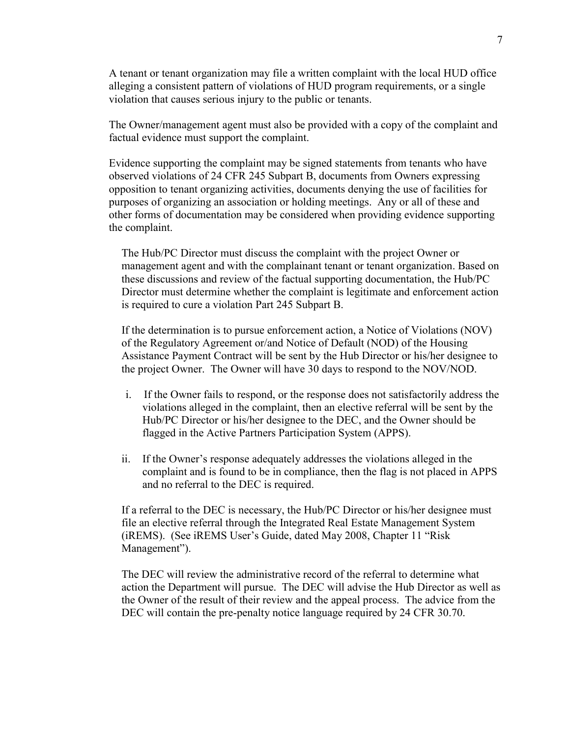A tenant or tenant organization may file a written complaint with the local HUD office alleging a consistent pattern of violations of HUD program requirements, or a single violation that causes serious injury to the public or tenants.

The Owner/management agent must also be provided with a copy of the complaint and factual evidence must support the complaint.

Evidence supporting the complaint may be signed statements from tenants who have observed violations of 24 CFR 245 Subpart B, documents from Owners expressing opposition to tenant organizing activities, documents denying the use of facilities for purposes of organizing an association or holding meetings. Any or all of these and other forms of documentation may be considered when providing evidence supporting the complaint.

 The Hub/PC Director must discuss the complaint with the project Owner or management agent and with the complainant tenant or tenant organization. Based on these discussions and review of the factual supporting documentation, the Hub/PC Director must determine whether the complaint is legitimate and enforcement action is required to cure a violation Part 245 Subpart B.

If the determination is to pursue enforcement action, a Notice of Violations (NOV) of the Regulatory Agreement or/and Notice of Default (NOD) of the Housing Assistance Payment Contract will be sent by the Hub Director or his/her designee to the project Owner. The Owner will have 30 days to respond to the NOV/NOD.

- i. If the Owner fails to respond, or the response does not satisfactorily address the violations alleged in the complaint, then an elective referral will be sent by the Hub/PC Director or his/her designee to the DEC, and the Owner should be flagged in the Active Partners Participation System (APPS).
- ii. If the Owner's response adequately addresses the violations alleged in the complaint and is found to be in compliance, then the flag is not placed in APPS and no referral to the DEC is required.

If a referral to the DEC is necessary, the Hub/PC Director or his/her designee must file an elective referral through the Integrated Real Estate Management System (iREMS). (See iREMS User's Guide, dated May 2008, Chapter 11 "Risk Management").

The DEC will review the administrative record of the referral to determine what action the Department will pursue. The DEC will advise the Hub Director as well as the Owner of the result of their review and the appeal process. The advice from the DEC will contain the pre-penalty notice language required by 24 CFR 30.70.